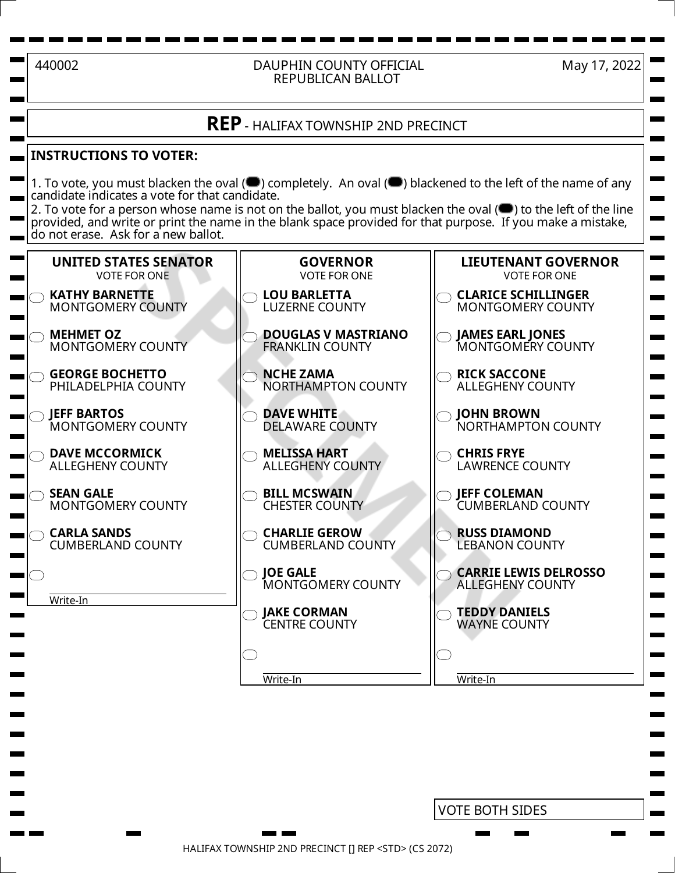## 440002 DAUPHIN COUNTY OFFICIAL REPUBLICAN BALLOT

May 17, 2022

## **REP**- HALIFAX TOWNSHIP 2ND PRECINCT

## **INSTRUCTIONS TO VOTER:**

1. To vote, you must blacken the oval  $(\blacksquare)$  completely. An oval  $(\blacksquare)$  blackened to the left of the name of any candidate indicates a vote for that candidate.

2. To vote for a person whose name is not on the ballot, you must blacken the oval  $($ **)** to the left of the line provided, and write or print the name in the blank space provided for that purpose. If you make a mistake, do not erase. Ask for a new ballot.